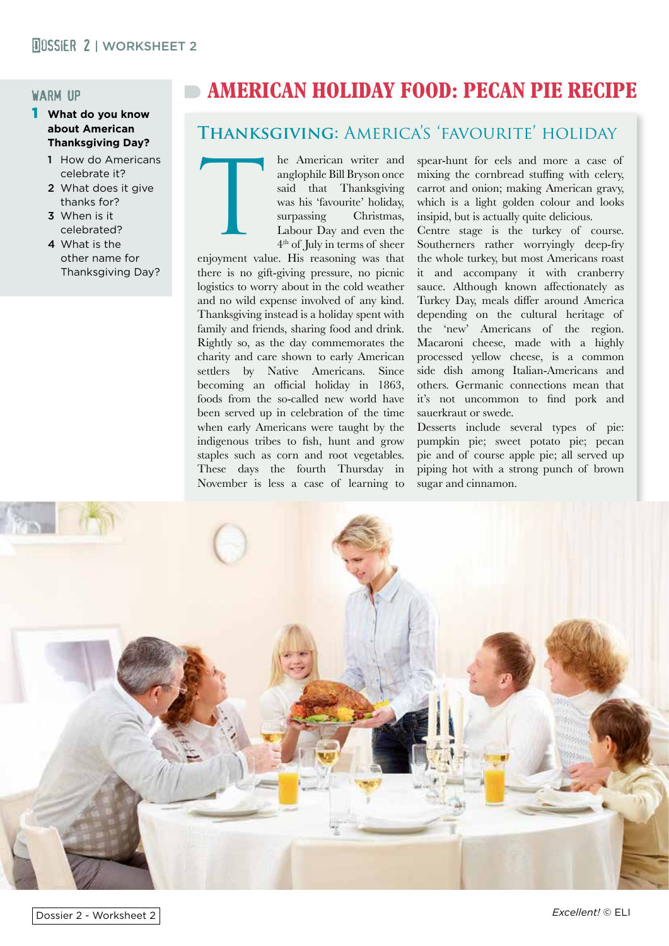#### warm up

#### 1 **What do you know about American Thanksgiving Day?**

- 1 How do Americans celebrate it?
- 2 What does it give thanks for?
- 3 When is it celebrated?
- 4 What is the other name for Thanksgiving Day?

# **AMERICAN HOLIDAY FOOD: PECAN PIE RECIPE**

## **Thanksgiving:** America's 'favourite' holiday

he American writer and anglophile Bill Bryson once said that Thanksgiving was his 'favourite' holiday, surpassing Christmas, Labour Day and even the 4th of July in terms of sheer

enjoyment value. His reasoning was that there is no gift-giving pressure, no picnic logistics to worry about in the cold weather and no wild expense involved of any kind. Thanksgiving instead is a holiday spent with family and friends, sharing food and drink. Rightly so, as the day commemorates the charity and care shown to early American settlers by Native Americans. Since becoming an official holiday in 1863, foods from the so-called new world have been served up in celebration of the time when early Americans were taught by the indigenous tribes to fish, hunt and grow staples such as corn and root vegetables. These days the fourth Thursday in November is less a case of learning to T

spear-hunt for eels and more a case of mixing the cornbread stuffing with celery, carrot and onion; making American gravy, which is a light golden colour and looks insipid, but is actually quite delicious.

Centre stage is the turkey of course. Southerners rather worryingly deep-fry the whole turkey, but most Americans roast it and accompany it with cranberry sauce. Although known affectionately as Turkey Day, meals differ around America depending on the cultural heritage of the 'new' Americans of the region. Macaroni cheese, made with a highly processed yellow cheese, is a common side dish among Italian-Americans and others. Germanic connections mean that it's not uncommon to find pork and sauerkraut or swede.

Desserts include several types of pie: pumpkin pie; sweet potato pie; pecan pie and of course apple pie; all served up piping hot with a strong punch of brown sugar and cinnamon.